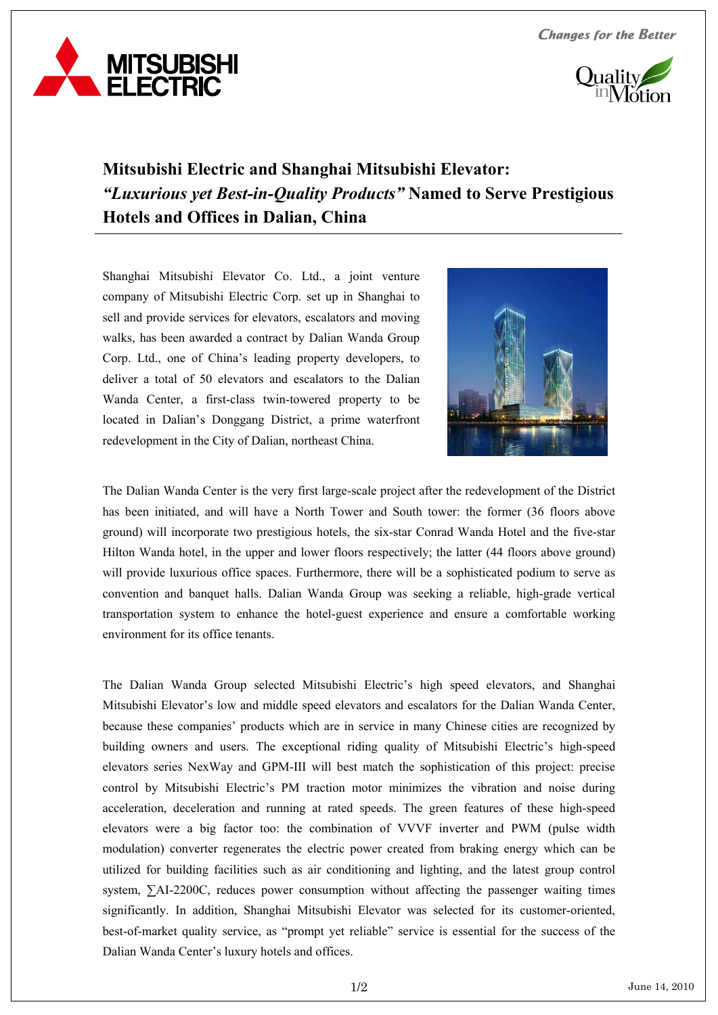**Changes for the Better** 





## **Mitsubishi Electric and Shanghai Mitsubishi Elevator:**  *"Luxurious yet Best-in-Quality Products"* **Named to Serve Prestigious Hotels and Offices in Dalian, China**

Shanghai Mitsubishi Elevator Co. Ltd., a joint venture company of Mitsubishi Electric Corp. set up in Shanghai to sell and provide services for elevators, escalators and moving walks, has been awarded a contract by Dalian Wanda Group Corp. Ltd., one of China's leading property developers, to deliver a total of 50 elevators and escalators to the Dalian Wanda Center, a first-class twin-towered property to be located in Dalian's Donggang District, a prime waterfront redevelopment in the City of Dalian, northeast China.



The Dalian Wanda Center is the very first large-scale project after the redevelopment of the District has been initiated, and will have a North Tower and South tower: the former (36 floors above ground) will incorporate two prestigious hotels, the six-star Conrad Wanda Hotel and the five-star Hilton Wanda hotel, in the upper and lower floors respectively; the latter (44 floors above ground) will provide luxurious office spaces. Furthermore, there will be a sophisticated podium to serve as convention and banquet halls. Dalian Wanda Group was seeking a reliable, high-grade vertical transportation system to enhance the hotel-guest experience and ensure a comfortable working environment for its office tenants.

The Dalian Wanda Group selected Mitsubishi Electric's high speed elevators, and Shanghai Mitsubishi Elevator's low and middle speed elevators and escalators for the Dalian Wanda Center, because these companies' products which are in service in many Chinese cities are recognized by building owners and users. The exceptional riding quality of Mitsubishi Electric's high-speed elevators series NexWay and GPM-III will best match the sophistication of this project: precise control by Mitsubishi Electric's PM traction motor minimizes the vibration and noise during acceleration, deceleration and running at rated speeds. The green features of these high-speed elevators were a big factor too: the combination of VVVF inverter and PWM (pulse width modulation) converter regenerates the electric power created from braking energy which can be utilized for building facilities such as air conditioning and lighting, and the latest group control system, ∑AI-2200C, reduces power consumption without affecting the passenger waiting times significantly. In addition, Shanghai Mitsubishi Elevator was selected for its customer-oriented, best-of-market quality service, as "prompt yet reliable" service is essential for the success of the Dalian Wanda Center's luxury hotels and offices.